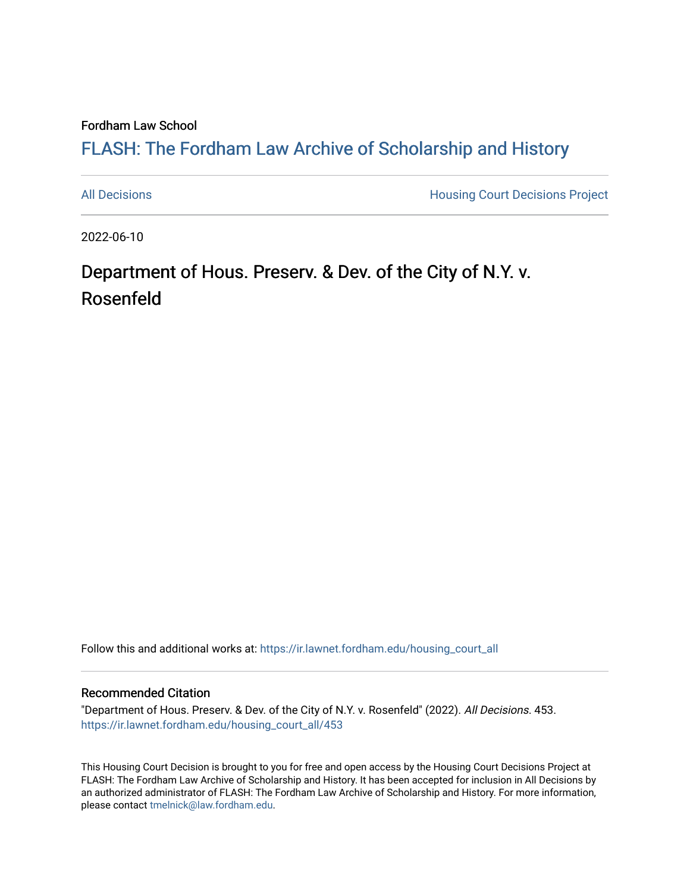Fordham Law School

# FLASH: The For[dham Law Archive of Scholarship and Hist](https://ir.lawnet.fordham.edu/)ory

[All Decisions](https://ir.lawnet.fordham.edu/housing_court_all) **All Decisions All Decisions** Project

2022-06-10

# Department of Hous. Preserv. & Dev. of the City of N.Y. v. Rosenfeld

Follow this and additional works at: [https://ir.lawnet.fordham.edu/housing\\_court\\_all](https://ir.lawnet.fordham.edu/housing_court_all?utm_source=ir.lawnet.fordham.edu%2Fhousing_court_all%2F453&utm_medium=PDF&utm_campaign=PDFCoverPages)

#### Recommended Citation

"Department of Hous. Preserv. & Dev. of the City of N.Y. v. Rosenfeld" (2022). All Decisions. 453. [https://ir.lawnet.fordham.edu/housing\\_court\\_all/453](https://ir.lawnet.fordham.edu/housing_court_all/453?utm_source=ir.lawnet.fordham.edu%2Fhousing_court_all%2F453&utm_medium=PDF&utm_campaign=PDFCoverPages)

This Housing Court Decision is brought to you for free and open access by the Housing Court Decisions Project at FLASH: The Fordham Law Archive of Scholarship and History. It has been accepted for inclusion in All Decisions by an authorized administrator of FLASH: The Fordham Law Archive of Scholarship and History. For more information, please contact [tmelnick@law.fordham.edu](mailto:tmelnick@law.fordham.edu).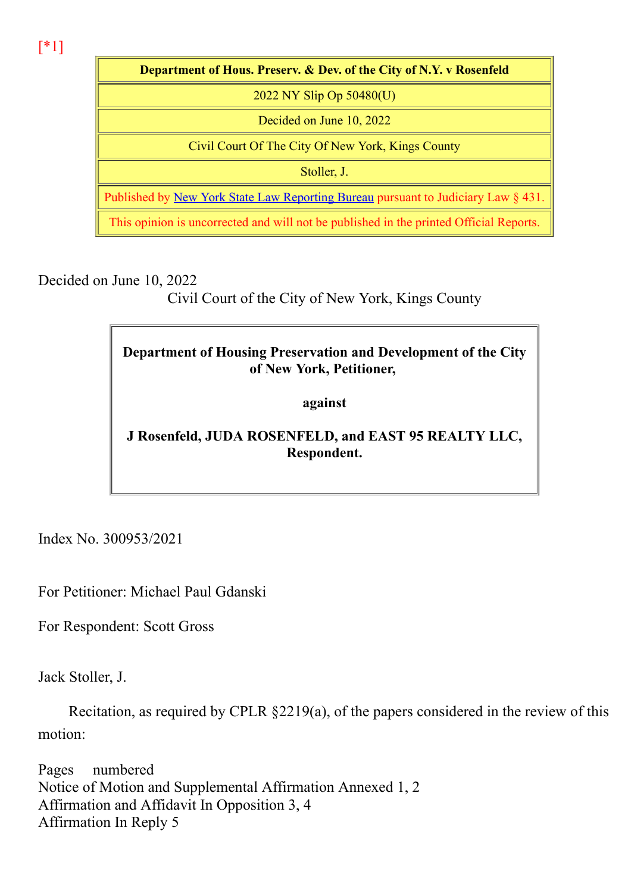[\*1]

Department of Hous. Preserv. & Dev. of the City of N.Y. v Rosenfeld 2022 NY Slip Op 50480(U) Decided on June 10, 2022 Civil Court Of The City Of New York, Kings County Stoller, J. Published by New York State Law Reporting Bureau pursuant to Judiciary Law § 431. This opinion is uncorrected and will not be published in the printed Official Reports.

Decided on June 10, 2022

Civil Court of the City of New York, Kings County

### Department of Housing Preservation and Development of the City of New York, Petitioner,

against

## J Rosenfeld, JUDA ROSENFELD, and EAST 95 REALTY LLC, Respondent.

Index No. 300953/2021

For Petitioner: Michael Paul Gdanski

For Respondent: Scott Gross

Jack Stoller, J.

Recitation, as required by CPLR §2219(a), of the papers considered in the review of this motion:

Pages numbered Notice of Motion and Supplemental Affirmation Annexed 1, 2 Affirmation and Affidavit In Opposition 3, 4 Affirmation In Reply 5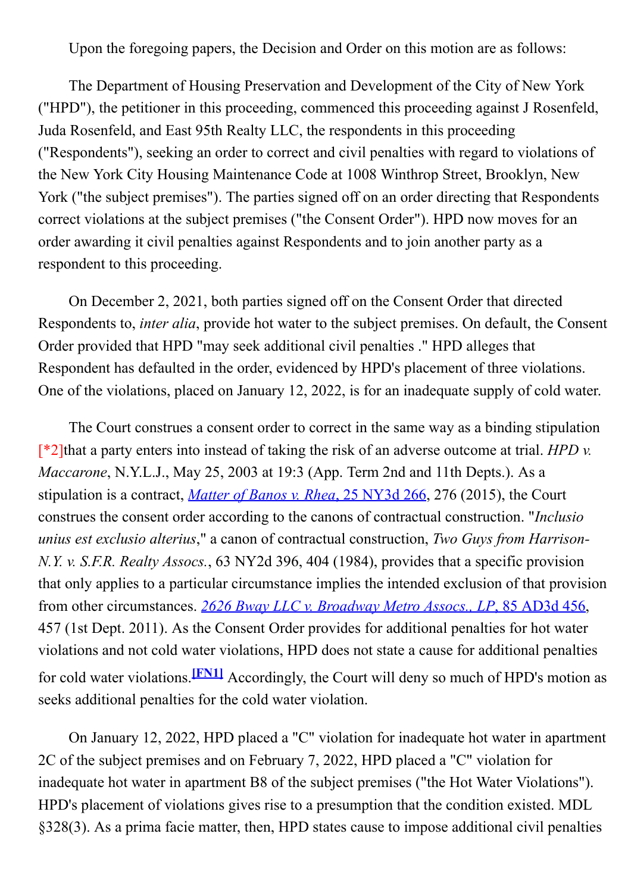Upon the foregoing papers, the Decision and Order on this motion are as follows:

The Department of Housing Preservation and Development of the City of New York ("HPD"), the petitioner in this proceeding, commenced this proceeding against J Rosenfeld, Juda Rosenfeld, and East 95th Realty LLC, the respondents in this proceeding ("Respondents"), seeking an order to correct and civil penalties with regard to violations of the New York City Housing Maintenance Code at 1008 Winthrop Street, Brooklyn, New York ("the subject premises"). The parties signed off on an order directing that Respondents correct violations at the subject premises ("the Consent Order"). HPD now moves for an order awarding it civil penalties against Respondents and to join another party as a respondent to this proceeding.

On December 2, 2021, both parties signed off on the Consent Order that directed Respondents to, inter alia, provide hot water to the subject premises. On default, the Consent Order provided that HPD "may seek additional civil penalties ." HPD alleges that Respondent has defaulted in the order, evidenced by HPD's placement of three violations. One of the violations, placed on January 12, 2022, is for an inadequate supply of cold water.

The Court construes a consent order to correct in the same way as a binding stipulation  $\lceil *2 \rceil$ that a party enters into instead of taking the risk of an adverse outcome at trial. HPD v. Maccarone, N.Y.L.J., May 25, 2003 at 19:3 (App. Term 2nd and 11th Depts.). As a stipulation is a contract, *Matter of Banos v. Rhea*,  $25$  NY3d  $266$ ,  $276$  (2015), the Court construes the consent order according to the canons of contractual construction. "Inclusio unius est exclusio alterius," a canon of contractual construction, Two Guys from Harrison-N.Y. v. S.F.R. Realty Assocs., 63 NY2d 396, 404 (1984), provides that a specific provision that only applies to a particular circumstance implies the intended exclusion of that provision from other circumstances. 2626 Bway LLC v. Broadway Metro Assocs., LP, 85 AD3d 456, 457 (1st Dept. 2011). As the Consent Order provides for additional penalties for hot water violations and not cold water violations, HPD does not state a cause for additional penalties for cold water violations.<sup>[FN1]</sup> Accordingly, the Court will deny so much of HPD's motion as seeks additional penalties for the cold water violation.

On January 12, 2022, HPD placed a "C" violation for inadequate hot water in apartment 2C of the subject premises and on February 7, 2022, HPD placed a "C" violation for inadequate hot water in apartment B8 of the subject premises ("the Hot Water Violations"). HPD's placement of violations gives rise to a presumption that the condition existed. MDL §328(3). As a prima facie matter, then, HPD states cause to impose additional civil penalties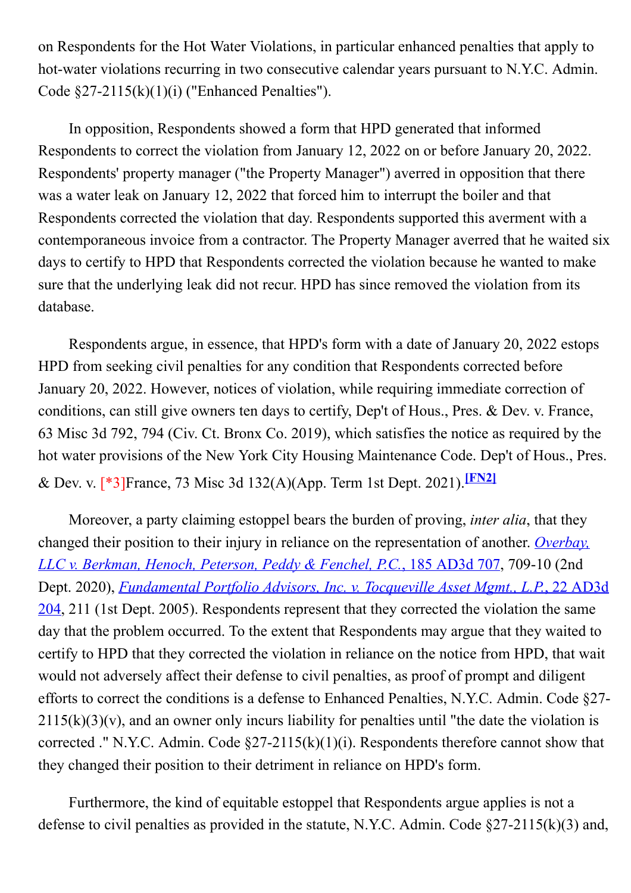on Respondents for the Hot Water Violations, in particular enhanced penalties that apply to hot-water violations recurring in two consecutive calendar years pursuant to N.Y.C. Admin. Code  $\S27-2115(k)(1)(i)$  ("Enhanced Penalties").

In opposition, Respondents showed a form that HPD generated that informed Respondents to correct the violation from January 12, 2022 on or before January 20, 2022. Respondents' property manager ("the Property Manager") averred in opposition that there was a water leak on January 12, 2022 that forced him to interrupt the boiler and that Respondents corrected the violation that day. Respondents supported this averment with a contemporaneous invoice from a contractor. The Property Manager averred that he waited six days to certify to HPD that Respondents corrected the violation because he wanted to make sure that the underlying leak did not recur. HPD has since removed the violation from its database.

Respondents argue, in essence, that HPD's form with a date of January 20, 2022 estops HPD from seeking civil penalties for any condition that Respondents corrected before January 20, 2022. However, notices of violation, while requiring immediate correction of conditions, can still give owners ten days to certify, Dep't of Hous., Pres. & Dev. v. France, 63 Misc 3d 792, 794 (Civ. Ct. Bronx Co. 2019), which satisfies the notice as required by the hot water provisions of the New York City Housing Maintenance Code. Dep't of Hous., Pres. & Dev. v. [\*3]France, 73 Misc 3d 132(A)(App. Term 1st Dept. 2021).[FN2]

Moreover, a party claiming estoppel bears the burden of proving, *inter alia*, that they changed their position to their injury in reliance on the representation of another. *Overbay*, LLC v. Berkman, Henoch, Peterson, Peddy & Fenchel, P.C., 185 AD3d 707, 709-10 (2nd Dept. 2020), *Fundamental Portfolio Advisors, Inc. v. Tocqueville Asset Mgmt., L.P.*, 22 AD3d 204, 211 (1st Dept. 2005). Respondents represent that they corrected the violation the same day that the problem occurred. To the extent that Respondents may argue that they waited to certify to HPD that they corrected the violation in reliance on the notice from HPD, that wait would not adversely affect their defense to civil penalties, as proof of prompt and diligent efforts to correct the conditions is a defense to Enhanced Penalties, N.Y.C. Admin. Code §27  $2115(k)(3)(v)$ , and an owner only incurs liability for penalties until "the date the violation is corrected ." N.Y.C. Admin. Code  $\S27-2115(k)(1)(i)$ . Respondents therefore cannot show that they changed their position to their detriment in reliance on HPD's form.

Furthermore, the kind of equitable estoppel that Respondents argue applies is not a defense to civil penalties as provided in the statute, N.Y.C. Admin. Code  $\S27-2115(k)(3)$  and,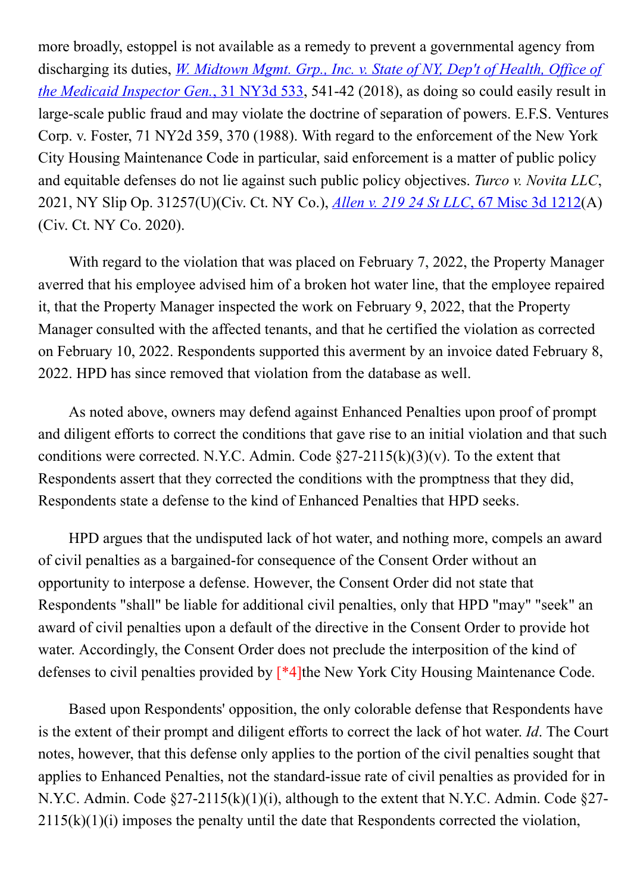more broadly, estoppel is not available as a remedy to prevent a governmental agency from discharging its duties, *W. Midtown Mgmt. Grp., Inc. v. State of NY, Dep't of Health, Office of* the Medicaid Inspector Gen.,  $31$  NY3d  $533$ ,  $541-42$  (2018), as doing so could easily result in large-scale public fraud and may violate the doctrine of separation of powers. E.F.S. Ventures Corp. v. Foster, 71 NY2d 359, 370 (1988). With regard to the enforcement of the New York City Housing Maintenance Code in particular, said enforcement is a matter of public policy and equitable defenses do not lie against such public policy objectives. Turco v. Novita LLC, 2021, NY Slip Op. 31257(U)(Civ. Ct. NY Co.), <u>Allen v. 219 24 St LLC, 67 Misc 3d 1212</u>(A) (Civ. Ct. NY Co. 2020).

With regard to the violation that was placed on February 7, 2022, the Property Manager averred that his employee advised him of a broken hot water line, that the employee repaired it, that the Property Manager inspected the work on February 9, 2022, that the Property Manager consulted with the affected tenants, and that he certified the violation as corrected on February 10, 2022. Respondents supported this averment by an invoice dated February 8, 2022. HPD has since removed that violation from the database as well.

As noted above, owners may defend against Enhanced Penalties upon proof of prompt and diligent efforts to correct the conditions that gave rise to an initial violation and that such conditions were corrected. N.Y.C. Admin. Code  $\S27-2115(k)(3)(v)$ . To the extent that Respondents assert that they corrected the conditions with the promptness that they did, Respondents state a defense to the kind of Enhanced Penalties that HPD seeks.

HPD argues that the undisputed lack of hot water, and nothing more, compels an award of civil penalties as a bargained-for consequence of the Consent Order without an opportunity to interpose a defense. However, the Consent Order did not state that Respondents "shall" be liable for additional civil penalties, only that HPD "may" "seek" an award of civil penalties upon a default of the directive in the Consent Order to provide hot water. Accordingly, the Consent Order does not preclude the interposition of the kind of defenses to civil penalties provided by [\*4]the New York City Housing Maintenance Code.

Based upon Respondents' opposition, the only colorable defense that Respondents have is the extent of their prompt and diligent efforts to correct the lack of hot water. Id. The Court notes, however, that this defense only applies to the portion of the civil penalties sought that applies to Enhanced Penalties, not the standard-issue rate of civil penalties as provided for in N.Y.C. Admin. Code  $\S27-2115(k)(1)(i)$ , although to the extent that N.Y.C. Admin. Code  $\S27 2115(k)(1)(i)$  imposes the penalty until the date that Respondents corrected the violation,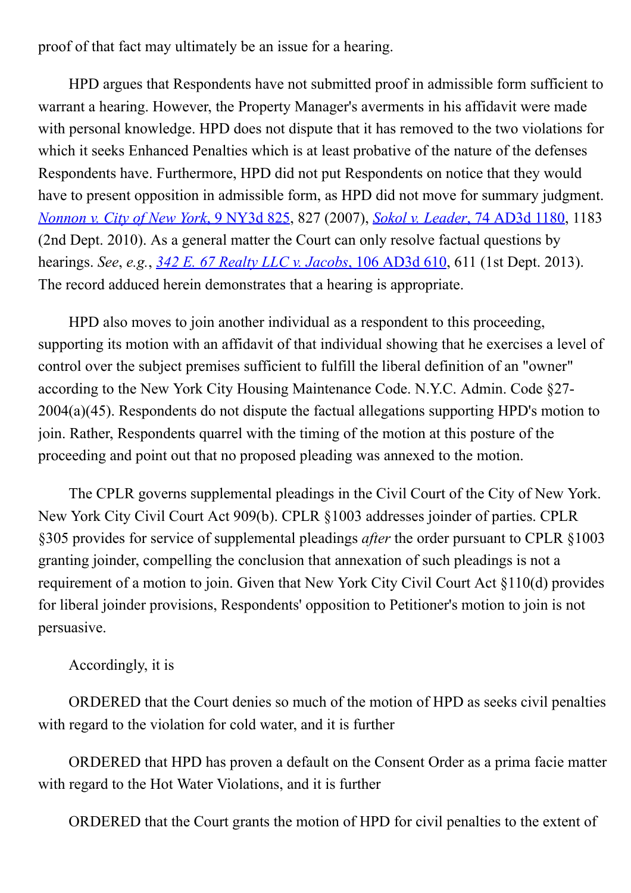proof of that fact may ultimately be an issue for a hearing.

HPD argues that Respondents have not submitted proof in admissible form sufficient to warrant a hearing. However, the Property Manager's averments in his affidavit were made with personal knowledge. HPD does not dispute that it has removed to the two violations for which it seeks Enhanced Penalties which is at least probative of the nature of the defenses Respondents have. Furthermore, HPD did not put Respondents on notice that they would have to present opposition in admissible form, as HPD did not move for summary judgment. Nonnon v. City of New York, 9 NY3d 825, 827 (2007), Sokol v. Leader, 74 AD3d 1180, 1183 (2nd Dept. 2010). As a general matter the Court can only resolve factual questions by hearings. See, e.g., 342 E. 67 Realty LLC v. Jacobs, 106 AD3d 610, 611 (1st Dept. 2013). The record adduced herein demonstrates that a hearing is appropriate.

HPD also moves to join another individual as a respondent to this proceeding, supporting its motion with an affidavit of that individual showing that he exercises a level of control over the subject premises sufficient to fulfill the liberal definition of an "owner" according to the New York City Housing Maintenance Code. N.Y.C. Admin. Code §27 2004(a)(45). Respondents do not dispute the factual allegations supporting HPD's motion to join. Rather, Respondents quarrel with the timing of the motion at this posture of the proceeding and point out that no proposed pleading was annexed to the motion.

The CPLR governs supplemental pleadings in the Civil Court of the City of New York. New York City Civil Court Act 909(b). CPLR §1003 addresses joinder of parties. CPLR §305 provides for service of supplemental pleadings after the order pursuant to CPLR §1003 granting joinder, compelling the conclusion that annexation of such pleadings is not a requirement of a motion to join. Given that New York City Civil Court Act §110(d) provides for liberal joinder provisions, Respondents' opposition to Petitioner's motion to join is not persuasive.

Accordingly, it is

ORDERED that the Court denies so much of the motion of HPD as seeks civil penalties with regard to the violation for cold water, and it is further

ORDERED that HPD has proven a default on the Consent Order as a prima facie matter with regard to the Hot Water Violations, and it is further

ORDERED that the Court grants the motion of HPD for civil penalties to the extent of